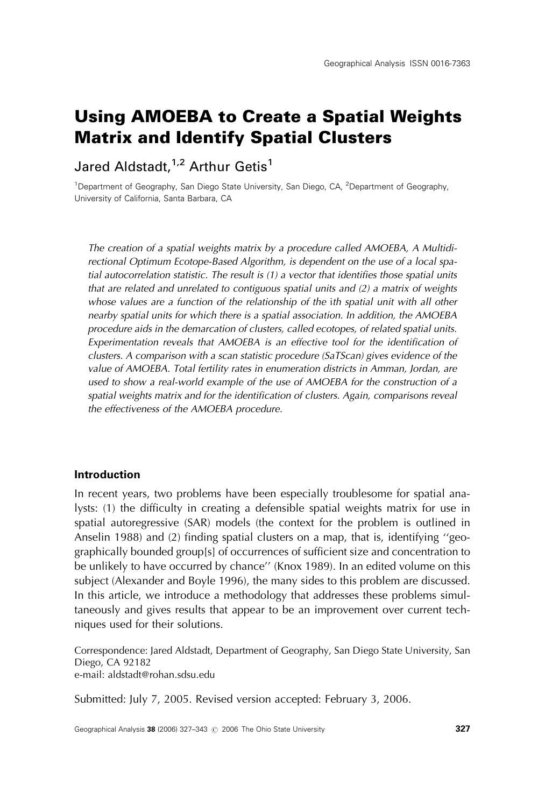# Using AMOEBA to Create a Spatial Weights Matrix and Identify Spatial Clusters

## Jared Aldstadt,<sup>1,2</sup> Arthur Getis<sup>1</sup>

<sup>1</sup>Department of Geography, San Diego State University, San Diego, CA, <sup>2</sup>Department of Geography, University of California, Santa Barbara, CA

The creation of a spatial weights matrix by a procedure called AMOEBA, A Multidirectional Optimum Ecotope-Based Algorithm, is dependent on the use of a local spatial autocorrelation statistic. The result is (1) a vector that identifies those spatial units that are related and unrelated to contiguous spatial units and (2) a matrix of weights whose values are a function of the relationship of the ith spatial unit with all other nearby spatial units for which there is a spatial association. In addition, the AMOEBA procedure aids in the demarcation of clusters, called ecotopes, of related spatial units. Experimentation reveals that AMOEBA is an effective tool for the identification of clusters. A comparison with a scan statistic procedure (SaTScan) gives evidence of the value of AMOEBA. Total fertility rates in enumeration districts in Amman, Jordan, are used to show a real-world example of the use of AMOEBA for the construction of a spatial weights matrix and for the identification of clusters. Again, comparisons reveal the effectiveness of the AMOEBA procedure.

## **Introduction**

In recent years, two problems have been especially troublesome for spatial analysts: (1) the difficulty in creating a defensible spatial weights matrix for use in spatial autoregressive (SAR) models (the context for the problem is outlined in Anselin 1988) and (2) finding spatial clusters on a map, that is, identifying ''geographically bounded group[s] of occurrences of sufficient size and concentration to be unlikely to have occurred by chance'' (Knox 1989). In an edited volume on this subject (Alexander and Boyle 1996), the many sides to this problem are discussed. In this article, we introduce a methodology that addresses these problems simultaneously and gives results that appear to be an improvement over current techniques used for their solutions.

Correspondence: Jared Aldstadt, Department of Geography, San Diego State University, San Diego, CA 92182 e-mail: aldstadt@rohan.sdsu.edu

Submitted: July 7, 2005. Revised version accepted: February 3, 2006.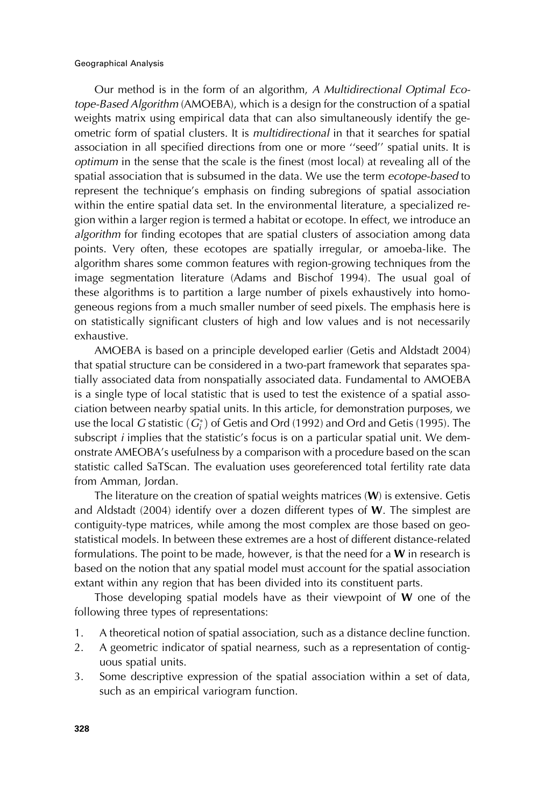#### Geographical Analysis

Our method is in the form of an algorithm, A Multidirectional Optimal Ecotope-Based Algorithm (AMOEBA), which is a design for the construction of a spatial weights matrix using empirical data that can also simultaneously identify the geometric form of spatial clusters. It is multidirectional in that it searches for spatial association in all specified directions from one or more ''seed'' spatial units. It is optimum in the sense that the scale is the finest (most local) at revealing all of the spatial association that is subsumed in the data. We use the term ecotope-based to represent the technique's emphasis on finding subregions of spatial association within the entire spatial data set. In the environmental literature, a specialized region within a larger region is termed a habitat or ecotope. In effect, we introduce an algorithm for finding ecotopes that are spatial clusters of association among data points. Very often, these ecotopes are spatially irregular, or amoeba-like. The algorithm shares some common features with region-growing techniques from the image segmentation literature (Adams and Bischof 1994). The usual goal of these algorithms is to partition a large number of pixels exhaustively into homogeneous regions from a much smaller number of seed pixels. The emphasis here is on statistically significant clusters of high and low values and is not necessarily exhaustive.

AMOEBA is based on a principle developed earlier (Getis and Aldstadt 2004) that spatial structure can be considered in a two-part framework that separates spatially associated data from nonspatially associated data. Fundamental to AMOEBA is a single type of local statistic that is used to test the existence of a spatial association between nearby spatial units. In this article, for demonstration purposes, we use the local *G* statistic  $(G_i^*)$  of Getis and Ord (1992) and Ord and Getis (1995). The subscript  $i$  implies that the statistic's focus is on a particular spatial unit. We demonstrate AMEOBA's usefulness by a comparison with a procedure based on the scan statistic called SaTScan. The evaluation uses georeferenced total fertility rate data from Amman, Jordan.

The literature on the creation of spatial weights matrices  $(W)$  is extensive. Getis and Aldstadt (2004) identify over a dozen different types of  $W$ . The simplest are contiguity-type matrices, while among the most complex are those based on geostatistical models. In between these extremes are a host of different distance-related formulations. The point to be made, however, is that the need for a  $W$  in research is based on the notion that any spatial model must account for the spatial association extant within any region that has been divided into its constituent parts.

Those developing spatial models have as their viewpoint of  $W$  one of the following three types of representations:

- 1. A theoretical notion of spatial association, such as a distance decline function.
- 2. A geometric indicator of spatial nearness, such as a representation of contiguous spatial units.
- 3. Some descriptive expression of the spatial association within a set of data, such as an empirical variogram function.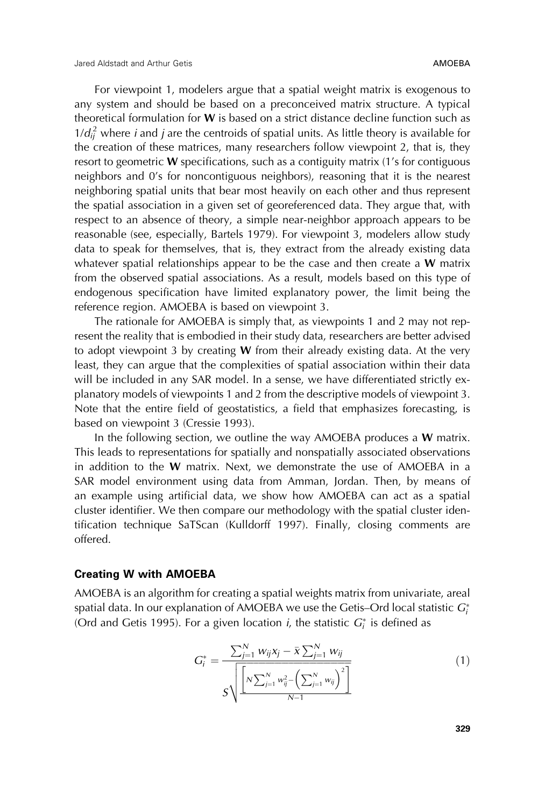For viewpoint 1, modelers argue that a spatial weight matrix is exogenous to any system and should be based on a preconceived matrix structure. A typical theoretical formulation for  $W$  is based on a strict distance decline function such as  $1/d_{ij}^2$  where *i* and *j* are the centroids of spatial units. As little theory is available for the creation of these matrices, many researchers follow viewpoint 2, that is, they resort to geometric **W** specifications, such as a contiguity matrix (1's for contiguous neighbors and 0's for noncontiguous neighbors), reasoning that it is the nearest neighboring spatial units that bear most heavily on each other and thus represent the spatial association in a given set of georeferenced data. They argue that, with respect to an absence of theory, a simple near-neighbor approach appears to be reasonable (see, especially, Bartels 1979). For viewpoint 3, modelers allow study data to speak for themselves, that is, they extract from the already existing data whatever spatial relationships appear to be the case and then create a  $W$  matrix from the observed spatial associations. As a result, models based on this type of endogenous specification have limited explanatory power, the limit being the reference region. AMOEBA is based on viewpoint 3.

The rationale for AMOEBA is simply that, as viewpoints 1 and 2 may not represent the reality that is embodied in their study data, researchers are better advised to adopt viewpoint 3 by creating  **from their already existing data. At the very** least, they can argue that the complexities of spatial association within their data will be included in any SAR model. In a sense, we have differentiated strictly explanatory models of viewpoints 1 and 2 from the descriptive models of viewpoint 3. Note that the entire field of geostatistics, a field that emphasizes forecasting, is based on viewpoint 3 (Cressie 1993).

In the following section, we outline the way AMOEBA produces a W matrix. This leads to representations for spatially and nonspatially associated observations in addition to the W matrix. Next, we demonstrate the use of AMOEBA in a SAR model environment using data from Amman, Jordan. Then, by means of an example using artificial data, we show how AMOEBA can act as a spatial cluster identifier. We then compare our methodology with the spatial cluster identification technique SaTScan (Kulldorff 1997). Finally, closing comments are offered.

#### **Creating W with AMOEBA**

AMOEBA is an algorithm for creating a spatial weights matrix from univariate, areal spatial data. In our explanation of AMOEBA we use the Getis–Ord local statistic  $G_i^\ast$ (Ord and Getis 1995). For a given location *i*, the statistic  $G_i^*$  is defined as

$$
G_{i}^{*} = \frac{\sum_{j=1}^{N} w_{ij} x_{j} - \bar{x} \sum_{j=1}^{N} w_{ij}}{S \sqrt{\frac{\left[ N \sum_{j=1}^{N} w_{ij}^{2} - \left( \sum_{j=1}^{N} w_{ij} \right)^{2} \right]}{N-1}}}
$$
(1)

**329**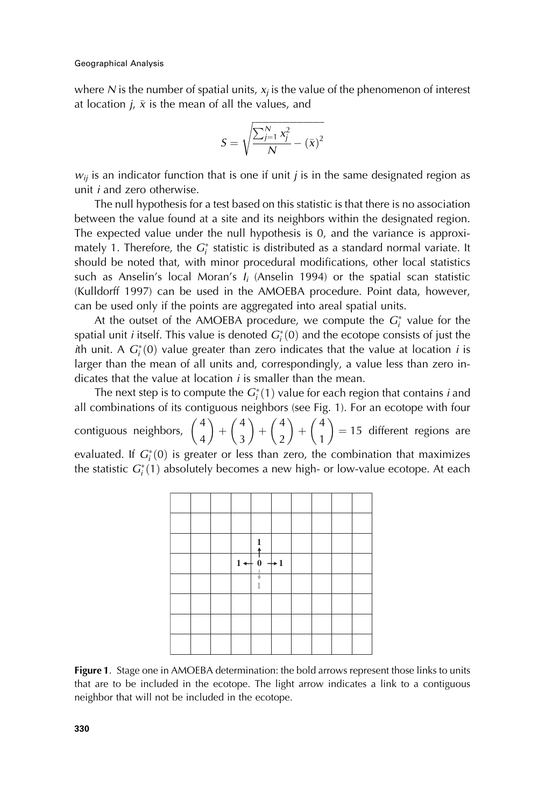where N is the number of spatial units,  $x_i$  is the value of the phenomenon of interest at location *j*,  $\bar{x}$  is the mean of all the values, and

$$
S = \sqrt{\frac{\sum_{j=1}^{N} x_j^2}{N} - (\bar{x})^2}
$$

 $w_{ij}$  is an indicator function that is one if unit *j* is in the same designated region as unit i and zero otherwise.

The null hypothesis for a test based on this statistic is that there is no association between the value found at a site and its neighbors within the designated region. The expected value under the null hypothesis is 0, and the variance is approximately 1. Therefore, the  $G_i^*$  statistic is distributed as a standard normal variate. It should be noted that, with minor procedural modifications, other local statistics such as Anselin's local Moran's  $I_i$  (Anselin 1994) or the spatial scan statistic (Kulldorff 1997) can be used in the AMOEBA procedure. Point data, however, can be used only if the points are aggregated into areal spatial units.

At the outset of the AMOEBA procedure, we compute the  $G_i^*$  value for the spatial unit *i* itself. This value is denoted  $G^*_i(0)$  and the ecotope consists of just the *i*th unit. A  $G_i^*(0)$  value greater than zero indicates that the value at location *i* is larger than the mean of all units and, correspondingly, a value less than zero indicates that the value at location  $i$  is smaller than the mean.

The next step is to compute the  $G_i^*(1)$  value for each region that contains i and all combinations of its contiguous neighbors (see Fig. 1). For an ecotope with four contiguous neighbors,  $\binom{4}{1} + \binom{4}{2} + \binom{4}{3}$  $(4)$  $\begin{pmatrix} 4 \\ 4 \end{pmatrix} + \begin{pmatrix} 4 \\ 3 \end{pmatrix} + \begin{pmatrix} 4 \\ 2 \end{pmatrix} + \begin{pmatrix} 4 \\ 1 \end{pmatrix} = 15$  different regions are evaluated. If  $G_i^*(0)$  is greater or less than zero, the combination that maximizes the statistic  $G^*_i(1)$  absolutely becomes a new high- or low-value ecotope. At each

|  |  | $1 \leftarrow 0$ $\rightarrow 1$ |  |  |  |
|--|--|----------------------------------|--|--|--|
|  |  |                                  |  |  |  |
|  |  |                                  |  |  |  |
|  |  |                                  |  |  |  |
|  |  |                                  |  |  |  |

Figure 1. Stage one in AMOEBA determination: the bold arrows represent those links to units that are to be included in the ecotope. The light arrow indicates a link to a contiguous neighbor that will not be included in the ecotope.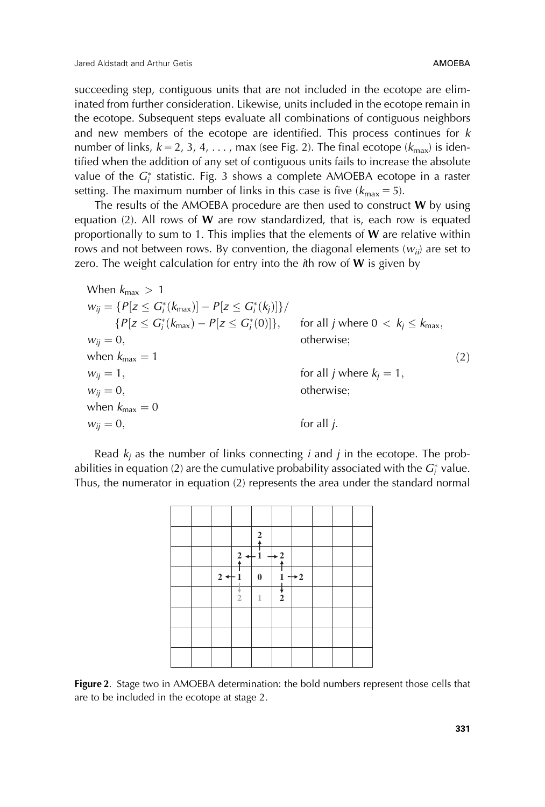succeeding step, contiguous units that are not included in the ecotope are eliminated from further consideration. Likewise, units included in the ecotope remain in the ecotope. Subsequent steps evaluate all combinations of contiguous neighbors and new members of the ecotope are identified. This process continues for  $k$ number of links,  $k = 2, 3, 4, \ldots$ , max (see Fig. 2). The final ecotope ( $k_{\text{max}}$ ) is identified when the addition of any set of contiguous units fails to increase the absolute value of the  $G_i^*$  statistic. Fig. 3 shows a complete AMOEBA ecotope in a raster setting. The maximum number of links in this case is five  $(k_{\text{max}} = 5)$ .

The results of the AMOEBA procedure are then used to construct  $W$  by using equation (2). All rows of **W** are row standardized, that is, each row is equated proportionally to sum to 1. This implies that the elements of  $W$  are relative within rows and not between rows. By convention, the diagonal elements  $(w_{ii})$  are set to zero. The weight calculation for entry into the *i*th row of **W** is given by

When 
$$
k_{\text{max}} > 1
$$
  
\n
$$
w_{ij} = \{P[z \le G_i^*(k_{\text{max}})] - P[z \le G_i^*(k_j)]\}/
$$
\n
$$
\{P[z \le G_i^*(k_{\text{max}}) - P[z \le G_i^*(0)]\}, \text{ for all } j \text{ where } 0 < k_j \le k_{\text{max}},
$$
\n
$$
w_{ij} = 0, \text{ when } k_{\text{max}} = 1
$$
\n
$$
w_{ij} = 1, \text{ for all } j \text{ where } k_j = 1,
$$
\n
$$
w_{ij} = 0, \text{ otherwise;}
$$
\n
$$
w_{ij} = 0, \text{ otherwise;}
$$
\n
$$
w_{ij} = 0, \text{ for all } j.
$$
\n(2)

Read  $k_j$  as the number of links connecting *i* and *j* in the ecotope. The probabilities in equation (2) are the cumulative probability associated with the  $G_i^*$  value. Thus, the numerator in equation (2) represents the area under the standard normal

|  |         |                     | $\mathcal{D}$ |                |      |  |  |
|--|---------|---------------------|---------------|----------------|------|--|--|
|  |         | $2 +$               | -1            | $\mathbf{2}$   |      |  |  |
|  | $2 + 1$ |                     | $\bf{0}$      |                | $+2$ |  |  |
|  |         | ٦<br>$\overline{2}$ | 1             | $\overline{2}$ |      |  |  |
|  |         |                     |               |                |      |  |  |
|  |         |                     |               |                |      |  |  |
|  |         |                     |               |                |      |  |  |

Figure 2. Stage two in AMOEBA determination: the bold numbers represent those cells that are to be included in the ecotope at stage 2.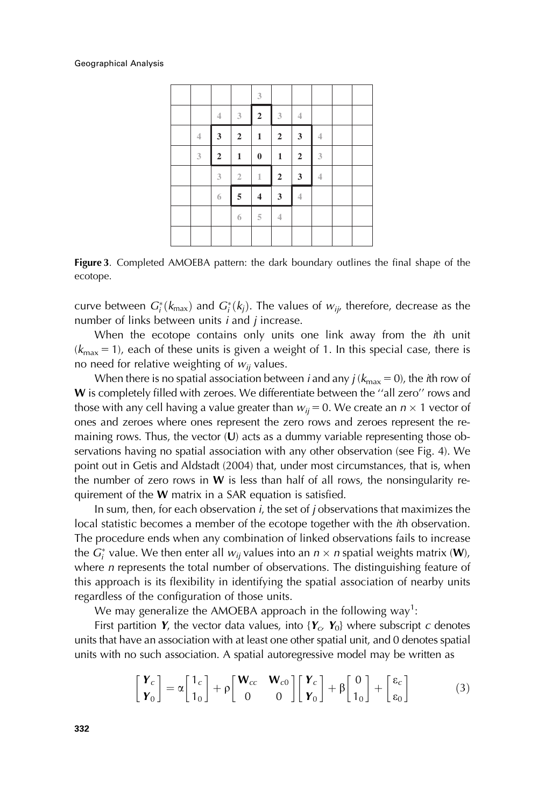|                |              |                | 3                       |                         |                |                |  |
|----------------|--------------|----------------|-------------------------|-------------------------|----------------|----------------|--|
|                | 4            | 3              | $\mathbf 2$             | 3                       | 4              |                |  |
| $\overline{4}$ | $\mathbf{3}$ | $\overline{2}$ | $\mathbf{1}$            | $\boldsymbol{2}$        | 3              | 4              |  |
| 3              | $\mathbf 2$  | $\mathbf{1}$   | $\bf{0}$                | $\mathbf{1}$            | $\mathbf 2$    | 3              |  |
|                | 3            | $\sqrt{2}$     | $1\,$                   | $\mathbf 2$             | $\mathbf{3}$   | $\overline{4}$ |  |
|                | $\sqrt{6}$   | 5              | $\overline{\mathbf{4}}$ | $\overline{\mathbf{3}}$ | $\overline{4}$ |                |  |
|                |              | $\sqrt{6}$     | 5                       | $\overline{4}$          |                |                |  |
|                |              |                |                         |                         |                |                |  |

Figure 3. Completed AMOEBA pattern: the dark boundary outlines the final shape of the ecotope.

curve between  $G_i^*(k_{\text{max}})$  and  $G_i^*(k_j)$ . The values of  $w_{ij}$ , therefore, decrease as the number of links between units  $i$  and  $j$  increase.

When the ecotope contains only units one link away from the *i*th unit  $(k<sub>max</sub> = 1)$ , each of these units is given a weight of 1. In this special case, there is no need for relative weighting of  $w_{ii}$  values.

When there is no spatial association between *i* and any  $j$  ( $k_{\text{max}} = 0$ ), the *i*th row of **W** is completely filled with zeroes. We differentiate between the "all zero" rows and those with any cell having a value greater than  $w_{ij} = 0$ . We create an  $n \times 1$  vector of ones and zeroes where ones represent the zero rows and zeroes represent the remaining rows. Thus, the vector  $(U)$  acts as a dummy variable representing those observations having no spatial association with any other observation (see Fig. 4). We point out in Getis and Aldstadt (2004) that, under most circumstances, that is, when the number of zero rows in **W** is less than half of all rows, the nonsingularity requirement of the **W** matrix in a SAR equation is satisfied.

In sum, then, for each observation  $i$ , the set of  $j$  observations that maximizes the local statistic becomes a member of the ecotope together with the ith observation. The procedure ends when any combination of linked observations fails to increase the  $G_i^*$  value. We then enter all  $w_{ij}$  values into an  $n \times n$  spatial weights matrix (**W**), where *n* represents the total number of observations. The distinguishing feature of this approach is its flexibility in identifying the spatial association of nearby units regardless of the configuration of those units.

We may generalize the AMOEBA approach in the following way<sup>1</sup>:

First partition Y, the vector data values, into  $\{Y_{c}, Y_{0}\}$  where subscript c denotes units that have an association with at least one other spatial unit, and 0 denotes spatial units with no such association. A spatial autoregressive model may be written as

$$
\begin{bmatrix} \mathbf{Y}_c \\ \mathbf{Y}_0 \end{bmatrix} = \alpha \begin{bmatrix} 1_c \\ 1_0 \end{bmatrix} + \rho \begin{bmatrix} \mathbf{W}_{cc} & \mathbf{W}_{c0} \\ 0 & 0 \end{bmatrix} \begin{bmatrix} \mathbf{Y}_c \\ \mathbf{Y}_0 \end{bmatrix} + \beta \begin{bmatrix} 0 \\ 1_0 \end{bmatrix} + \begin{bmatrix} \varepsilon_c \\ \varepsilon_0 \end{bmatrix}
$$
 (3)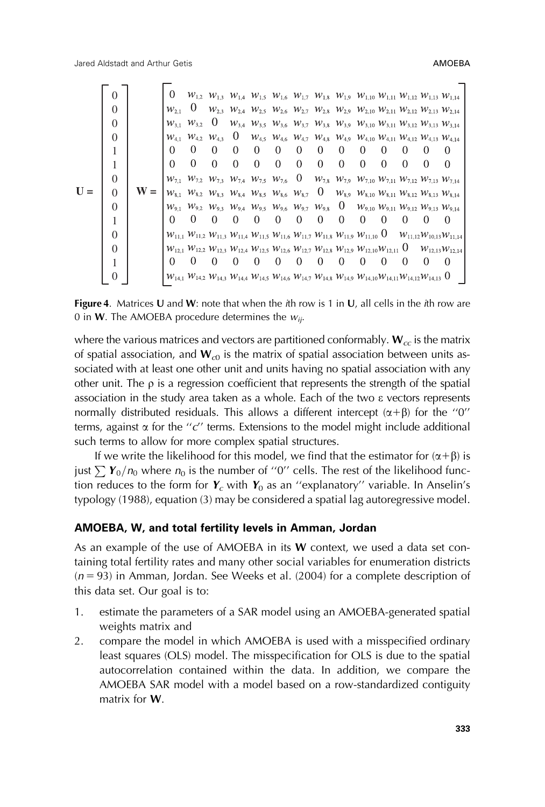|       |          |       | $\theta$            |                     |          |                                                                       |        |          |          |                                                                                                                  |              |          | $W_{1,2}$ $W_{1,3}$ $W_{1,4}$ $W_{1,5}$ $W_{1,6}$ $W_{1,7}$ $W_{1,8}$ $W_{1,9}$ $W_{1,10}$ $W_{1,11}$ $W_{1,12}$ $W_{1,13}$ $W_{1,14}$               |          |   |                               |
|-------|----------|-------|---------------------|---------------------|----------|-----------------------------------------------------------------------|--------|----------|----------|------------------------------------------------------------------------------------------------------------------|--------------|----------|------------------------------------------------------------------------------------------------------------------------------------------------------|----------|---|-------------------------------|
|       | 0        |       | $W_{2,1}$           | $\mathbf{0}$        |          |                                                                       |        |          |          |                                                                                                                  |              |          | $W_{2,3}$ $W_{2,4}$ $W_{2,5}$ $W_{2,6}$ $W_{2,7}$ $W_{2,8}$ $W_{2,9}$ $W_{2,10}$ $W_{2,11}$ $W_{2,12}$ $W_{2,13}$ $W_{2,14}$                         |          |   |                               |
|       | $\theta$ |       | $W_{3,1}$           | $W_{3,2}$           | -0       |                                                                       |        |          |          |                                                                                                                  |              |          | $W_{3,4}$ $W_{3,5}$ $W_{3,6}$ $W_{3,7}$ $W_{3,8}$ $W_{3,9}$ $W_{3,10}$ $W_{3,11}$ $W_{3,12}$ $W_{3,13}$ $W_{3,14}$                                   |          |   |                               |
|       | 0        |       | $\mathcal{W}_{4,1}$ | $W_{4,2}$ $W_{4,3}$ |          | $\mathbf{U}$                                                          |        |          |          |                                                                                                                  |              |          | $W_{4,5}$ $W_{4,6}$ $W_{4,7}$ $W_{4,8}$ $W_{4,9}$ $W_{4,10}$ $W_{4,11}$ $W_{4,12}$ $W_{4,13}$ $W_{4,14}$                                             |          |   |                               |
|       |          |       | $\theta$            | 0                   | 0        | $\theta$                                                              | 0      | $\theta$ | $\theta$ | $\theta$                                                                                                         | O            |          |                                                                                                                                                      |          |   | O                             |
|       |          |       | 0                   | 0                   | 0        | $\overline{0}$                                                        | 0      | $\theta$ | $\theta$ | $\theta$                                                                                                         | $\theta$     | $\theta$ | 0                                                                                                                                                    | $\theta$ | U | O                             |
|       | 0        |       |                     |                     |          | $w_{7,1}$ $w_{7,2}$ $w_{7,3}$ $w_{7,4}$ $w_{7,5}$ $w_{7,6}$ 0         |        |          |          |                                                                                                                  |              |          | $W_{7,8}$ $W_{7,9}$ $W_{7,10}$ $W_{7,11}$ $W_{7,12}$ $W_{7,13}$ $W_{7,14}$                                                                           |          |   |                               |
| $U =$ | $\theta$ | $W =$ |                     |                     |          |                                                                       |        |          |          |                                                                                                                  |              |          | $W_{8,1}$ $W_{8,2}$ $W_{8,3}$ $W_{8,4}$ $W_{8,5}$ $W_{8,6}$ $W_{8,7}$ 0 $W_{8,9}$ $W_{8,10}$ $W_{8,11}$ $W_{8,12}$ $W_{8,13}$ $W_{8,14}$             |          |   |                               |
|       | 0        |       | ${\cal W}_{9,1}$    |                     |          | $W_{9,2}$ $W_{9,3}$ $W_{9,4}$ $W_{9,5}$ $W_{9,6}$ $W_{9,7}$ $W_{9,8}$ |        |          |          |                                                                                                                  | $\mathbf{0}$ |          | $W_{9,10}$ $W_{9,11}$ $W_{9,12}$ $W_{9,13}$ $W_{9,14}$                                                                                               |          |   |                               |
|       |          |       | $\theta$            | $\theta$            | $\theta$ | $\theta$                                                              | $_{0}$ | 0        | $\theta$ | $\theta$                                                                                                         | $\theta$     | $\theta$ |                                                                                                                                                      | O        | O | O                             |
|       | 0        |       |                     |                     |          |                                                                       |        |          |          | $w_{11,1}$ $w_{11,2}$ $w_{11,3}$ $w_{11,4}$ $w_{11,5}$ $w_{11,6}$ $w_{11,7}$ $w_{11,8}$ $w_{11,9}$ $w_{11,10}$ O |              |          |                                                                                                                                                      |          |   | $W_{11,12}W_{10,13}W_{11,14}$ |
|       | 0        |       |                     |                     |          |                                                                       |        |          |          |                                                                                                                  |              |          | $W_{12,1}$ $W_{12,2}$ $W_{12,3}$ $W_{12,4}$ $W_{12,5}$ $W_{12,6}$ $W_{12,7}$ $W_{12,8}$ $W_{12,9}$ $W_{12,10}$ $W_{12,11}$ $W_{12,11}$               |          |   | $W_{12,13}W_{12,14}$          |
|       |          |       | $\theta$            | $^{(1)}$            | $\theta$ | 0                                                                     | O      | $\theta$ | $\theta$ | $\mathbf 0$                                                                                                      | $\mathbf 0$  | 0        | U                                                                                                                                                    | O        | O | 0                             |
|       |          |       |                     |                     |          |                                                                       |        |          |          |                                                                                                                  |              |          | $W_{14,1}$ $W_{14,2}$ $W_{14,3}$ $W_{14,4}$ $W_{14,5}$ $W_{14,6}$ $W_{14,7}$ $W_{14,8}$ $W_{14,9}$ $W_{14,10}$ $W_{14,11}$ $W_{14,12}$ $W_{14,13}$ U |          |   |                               |
|       |          |       |                     |                     |          |                                                                       |        |          |          |                                                                                                                  |              |          |                                                                                                                                                      |          |   |                               |

**Figure 4.** Matrices U and W: note that when the *i*th row is 1 in U, all cells in the *i*th row are 0 in **W**. The AMOEBA procedure determines the  $w_{ij}$ .

where the various matrices and vectors are partitioned conformably.  $W_{cc}$  is the matrix of spatial association, and  $W_{c0}$  is the matrix of spatial association between units associated with at least one other unit and units having no spatial association with any other unit. The  $\rho$  is a regression coefficient that represents the strength of the spatial association in the study area taken as a whole. Each of the two e vectors represents normally distributed residuals. This allows a different intercept  $(\alpha+\beta)$  for the "0" terms, against  $\alpha$  for the " $c$ " terms. Extensions to the model might include additional such terms to allow for more complex spatial structures.

If we write the likelihood for this model, we find that the estimator for  $(\alpha + \beta)$  is just  $\sum Y_0/n_0$  where  $n_0$  is the number of "0" cells. The rest of the likelihood function reduces to the form for  $Y_c$  with  $Y_0$  as an "explanatory" variable. In Anselin's typology (1988), equation (3) may be considered a spatial lag autoregressive model.

## **AMOEBA, W, and total fertility levels in Amman, Jordan**

As an example of the use of AMOEBA in its W context, we used a data set containing total fertility rates and many other social variables for enumeration districts  $(n = 93)$  in Amman, Jordan. See Weeks et al. (2004) for a complete description of this data set. Our goal is to:

- 1. estimate the parameters of a SAR model using an AMOEBA-generated spatial weights matrix and
- 2. compare the model in which AMOEBA is used with a misspecified ordinary least squares (OLS) model. The misspecification for OLS is due to the spatial autocorrelation contained within the data. In addition, we compare the AMOEBA SAR model with a model based on a row-standardized contiguity matrix for W.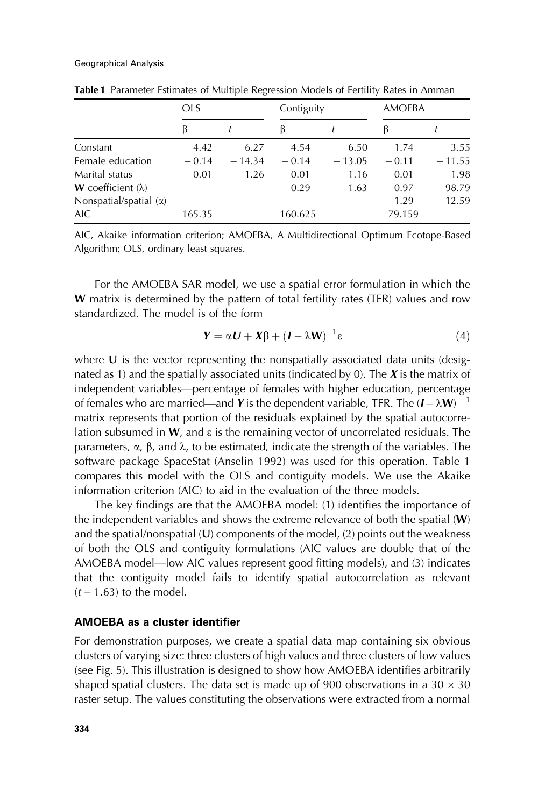#### Geographical Analysis

|                                  | <b>OLS</b> |          | Contiguity |          | <b>AMOEBA</b> |          |
|----------------------------------|------------|----------|------------|----------|---------------|----------|
|                                  | ß          |          | ß          |          |               |          |
| Constant                         | 4.42       | 6.27     | 4.54       | 6.50     | 1.74          | 3.55     |
| Female education                 | $-0.14$    | $-14.34$ | $-0.14$    | $-13.05$ | $-0.11$       | $-11.55$ |
| Marital status                   | 0.01       | 1.26     | 0.01       | 1.16     | 0.01          | 1.98     |
| <b>W</b> coefficient $(\lambda)$ |            |          | 0.29       | 1.63     | 0.97          | 98.79    |
| Nonspatial/spatial $(\alpha)$    |            |          |            |          | 1.29          | 12.59    |
| AIC                              | 165.35     |          | 160.625    |          | 79.159        |          |

Table 1 Parameter Estimates of Multiple Regression Models of Fertility Rates in Amman

AIC, Akaike information criterion; AMOEBA, A Multidirectional Optimum Ecotope-Based Algorithm; OLS, ordinary least squares.

For the AMOEBA SAR model, we use a spatial error formulation in which the W matrix is determined by the pattern of total fertility rates (TFR) values and row standardized. The model is of the form

$$
\mathbf{Y} = \alpha \mathbf{U} + \mathbf{X}\beta + (\mathbf{I} - \lambda \mathbf{W})^{-1} \varepsilon \tag{4}
$$

where  **is the vector representing the nonspatially associated data units (desig**nated as 1) and the spatially associated units (indicated by 0). The  $X$  is the matrix of independent variables—percentage of females with higher education, percentage of females who are married—and  $\bm{Y}$  is the dependent variable, TFR. The ( $\bm{I}\!-\!\lambda\bm{W}\!)^{-1}$ matrix represents that portion of the residuals explained by the spatial autocorrelation subsumed in  $W$ , and  $\varepsilon$  is the remaining vector of uncorrelated residuals. The parameters,  $\alpha$ ,  $\beta$ , and  $\lambda$ , to be estimated, indicate the strength of the variables. The software package SpaceStat (Anselin 1992) was used for this operation. Table 1 compares this model with the OLS and contiguity models. We use the Akaike information criterion (AIC) to aid in the evaluation of the three models.

The key findings are that the AMOEBA model: (1) identifies the importance of the independent variables and shows the extreme relevance of both the spatial  $(W)$ and the spatial/nonspatial  $(U)$  components of the model, (2) points out the weakness of both the OLS and contiguity formulations (AIC values are double that of the AMOEBA model—low AIC values represent good fitting models), and (3) indicates that the contiguity model fails to identify spatial autocorrelation as relevant  $(t = 1.63)$  to the model.

## **AMOEBA as a cluster identifier**

For demonstration purposes, we create a spatial data map containing six obvious clusters of varying size: three clusters of high values and three clusters of low values (see Fig. 5). This illustration is designed to show how AMOEBA identifies arbitrarily shaped spatial clusters. The data set is made up of 900 observations in a  $30 \times 30$ raster setup. The values constituting the observations were extracted from a normal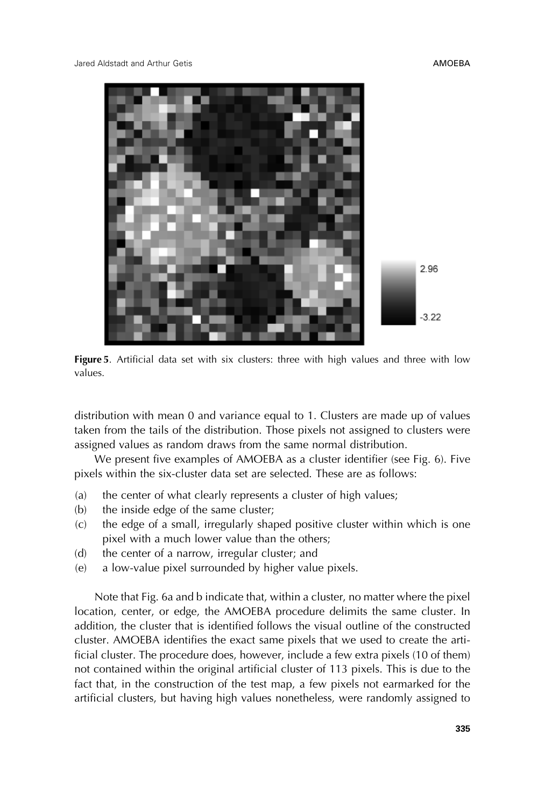

Figure 5. Artificial data set with six clusters: three with high values and three with low values.

distribution with mean 0 and variance equal to 1. Clusters are made up of values taken from the tails of the distribution. Those pixels not assigned to clusters were assigned values as random draws from the same normal distribution.

We present five examples of AMOEBA as a cluster identifier (see Fig. 6). Five pixels within the six-cluster data set are selected. These are as follows:

- (a) the center of what clearly represents a cluster of high values;
- (b) the inside edge of the same cluster;
- (c) the edge of a small, irregularly shaped positive cluster within which is one pixel with a much lower value than the others;
- (d) the center of a narrow, irregular cluster; and
- (e) a low-value pixel surrounded by higher value pixels.

Note that Fig. 6a and b indicate that, within a cluster, no matter where the pixel location, center, or edge, the AMOEBA procedure delimits the same cluster. In addition, the cluster that is identified follows the visual outline of the constructed cluster. AMOEBA identifies the exact same pixels that we used to create the artificial cluster. The procedure does, however, include a few extra pixels (10 of them) not contained within the original artificial cluster of 113 pixels. This is due to the fact that, in the construction of the test map, a few pixels not earmarked for the artificial clusters, but having high values nonetheless, were randomly assigned to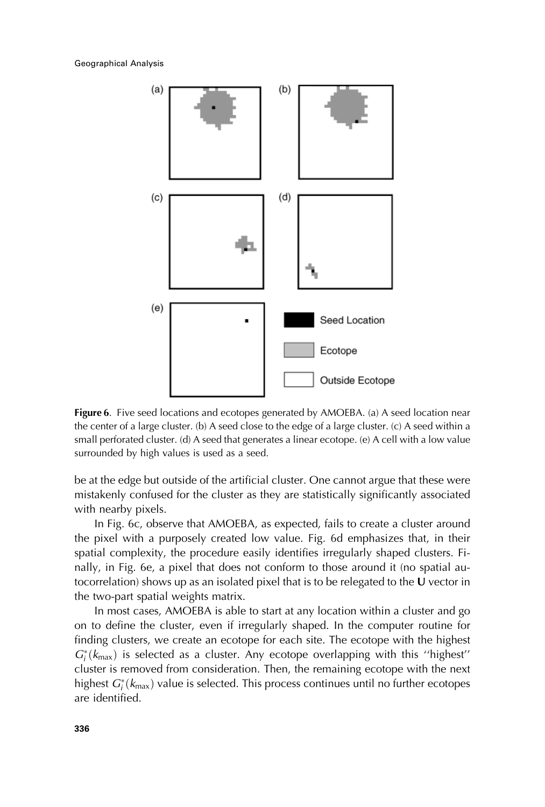

**Figure 6.** Five seed locations and ecotopes generated by AMOEBA. (a) A seed location near the center of a large cluster. (b) A seed close to the edge of a large cluster. (c) A seed within a small perforated cluster. (d) A seed that generates a linear ecotope. (e) A cell with a low value surrounded by high values is used as a seed.

be at the edge but outside of the artificial cluster. One cannot argue that these were mistakenly confused for the cluster as they are statistically significantly associated with nearby pixels.

In Fig. 6c, observe that AMOEBA, as expected, fails to create a cluster around the pixel with a purposely created low value. Fig. 6d emphasizes that, in their spatial complexity, the procedure easily identifies irregularly shaped clusters. Finally, in Fig. 6e, a pixel that does not conform to those around it (no spatial autocorrelation) shows up as an isolated pixel that is to be relegated to the U vector in the two-part spatial weights matrix.

In most cases, AMOEBA is able to start at any location within a cluster and go on to define the cluster, even if irregularly shaped. In the computer routine for finding clusters, we create an ecotope for each site. The ecotope with the highest  $G_i^*(k_{\text{max}})$  is selected as a cluster. Any ecotope overlapping with this "highest" cluster is removed from consideration. Then, the remaining ecotope with the next highest  $G_{\tilde{i}}^{*}(k_{\max})$  value is selected. This process continues until no further ecotopes are identified.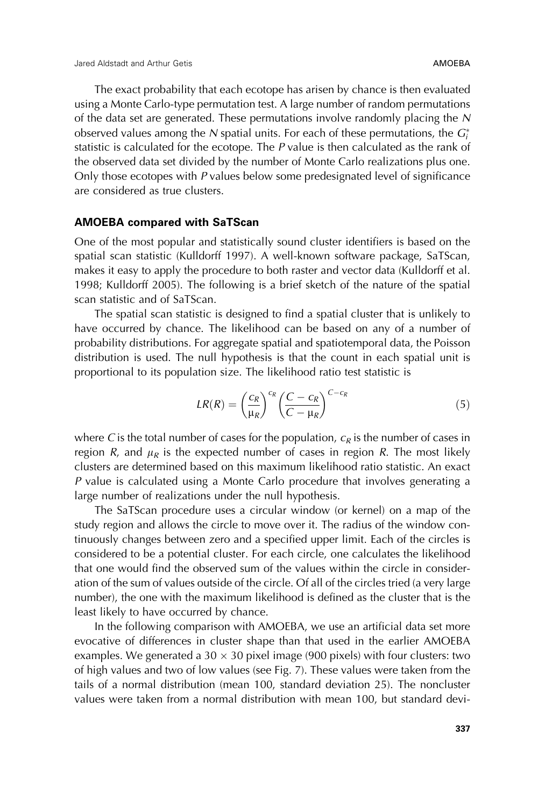The exact probability that each ecotope has arisen by chance is then evaluated using a Monte Carlo-type permutation test. A large number of random permutations of the data set are generated. These permutations involve randomly placing the  $N$ observed values among the N spatial units. For each of these permutations, the  $G_i^*$ statistic is calculated for the ecotope. The  $P$  value is then calculated as the rank of the observed data set divided by the number of Monte Carlo realizations plus one. Only those ecotopes with P values below some predesignated level of significance are considered as true clusters.

#### **AMOEBA compared with SaTScan**

One of the most popular and statistically sound cluster identifiers is based on the spatial scan statistic (Kulldorff 1997). A well-known software package, SaTScan, makes it easy to apply the procedure to both raster and vector data (Kulldorff et al. 1998; Kulldorff 2005). The following is a brief sketch of the nature of the spatial scan statistic and of SaTScan.

The spatial scan statistic is designed to find a spatial cluster that is unlikely to have occurred by chance. The likelihood can be based on any of a number of probability distributions. For aggregate spatial and spatiotemporal data, the Poisson distribution is used. The null hypothesis is that the count in each spatial unit is proportional to its population size. The likelihood ratio test statistic is

$$
LR(R) = \left(\frac{c_R}{\mu_R}\right)^{c_R} \left(\frac{C - c_R}{C - \mu_R}\right)^{C - c_R} \tag{5}
$$

where C is the total number of cases for the population,  $c_R$  is the number of cases in region  $R$ , and  $\mu_R$  is the expected number of cases in region  $R$ . The most likely clusters are determined based on this maximum likelihood ratio statistic. An exact P value is calculated using a Monte Carlo procedure that involves generating a large number of realizations under the null hypothesis.

The SaTScan procedure uses a circular window (or kernel) on a map of the study region and allows the circle to move over it. The radius of the window continuously changes between zero and a specified upper limit. Each of the circles is considered to be a potential cluster. For each circle, one calculates the likelihood that one would find the observed sum of the values within the circle in consideration of the sum of values outside of the circle. Of all of the circles tried (a very large number), the one with the maximum likelihood is defined as the cluster that is the least likely to have occurred by chance.

In the following comparison with AMOEBA, we use an artificial data set more evocative of differences in cluster shape than that used in the earlier AMOEBA examples. We generated a  $30 \times 30$  pixel image (900 pixels) with four clusters: two of high values and two of low values (see Fig. 7). These values were taken from the tails of a normal distribution (mean 100, standard deviation 25). The noncluster values were taken from a normal distribution with mean 100, but standard devi-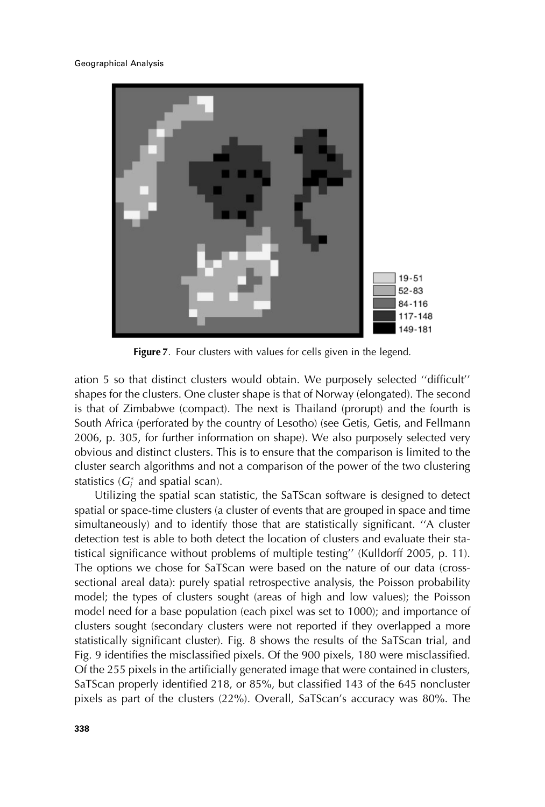

Figure 7. Four clusters with values for cells given in the legend.

ation 5 so that distinct clusters would obtain. We purposely selected ''difficult'' shapes for the clusters. One cluster shape is that of Norway (elongated). The second is that of Zimbabwe (compact). The next is Thailand (prorupt) and the fourth is South Africa (perforated by the country of Lesotho) (see Getis, Getis, and Fellmann 2006, p. 305, for further information on shape). We also purposely selected very obvious and distinct clusters. This is to ensure that the comparison is limited to the cluster search algorithms and not a comparison of the power of the two clustering statistics ( $G_i^*$  and spatial scan).

Utilizing the spatial scan statistic, the SaTScan software is designed to detect spatial or space-time clusters (a cluster of events that are grouped in space and time simultaneously) and to identify those that are statistically significant. ''A cluster detection test is able to both detect the location of clusters and evaluate their statistical significance without problems of multiple testing'' (Kulldorff 2005, p. 11). The options we chose for SaTScan were based on the nature of our data (crosssectional areal data): purely spatial retrospective analysis, the Poisson probability model; the types of clusters sought (areas of high and low values); the Poisson model need for a base population (each pixel was set to 1000); and importance of clusters sought (secondary clusters were not reported if they overlapped a more statistically significant cluster). Fig. 8 shows the results of the SaTScan trial, and Fig. 9 identifies the misclassified pixels. Of the 900 pixels, 180 were misclassified. Of the 255 pixels in the artificially generated image that were contained in clusters, SaTScan properly identified 218, or 85%, but classified 143 of the 645 noncluster pixels as part of the clusters (22%). Overall, SaTScan's accuracy was 80%. The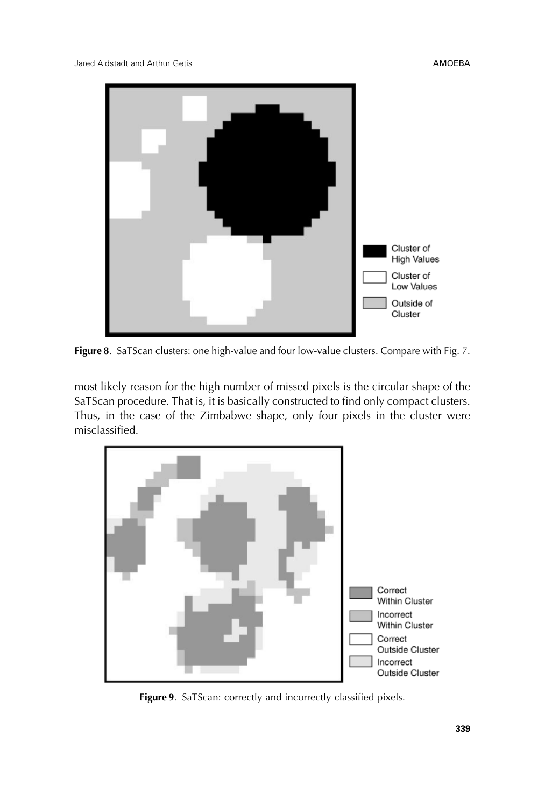

Figure 8. SaTScan clusters: one high-value and four low-value clusters. Compare with Fig. 7.

most likely reason for the high number of missed pixels is the circular shape of the SaTScan procedure. That is, it is basically constructed to find only compact clusters. Thus, in the case of the Zimbabwe shape, only four pixels in the cluster were misclassified.



Figure 9. SaTScan: correctly and incorrectly classified pixels.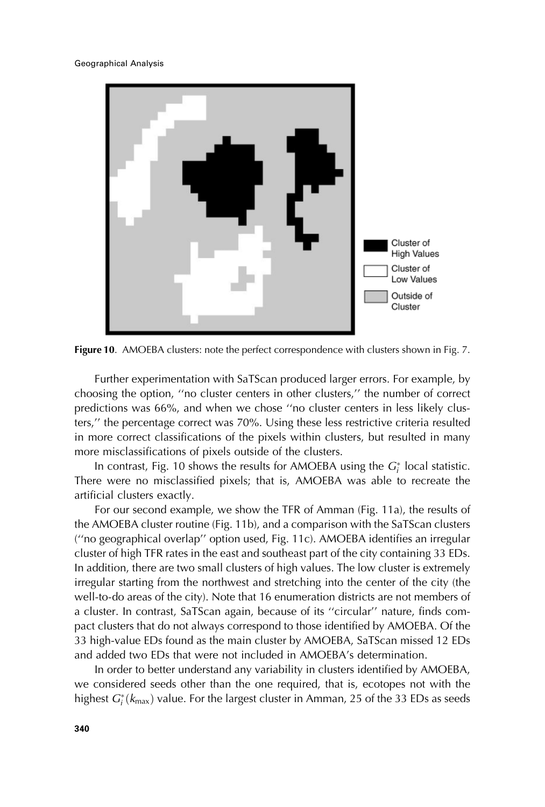

Figure 10. AMOEBA clusters: note the perfect correspondence with clusters shown in Fig. 7.

Further experimentation with SaTScan produced larger errors. For example, by choosing the option, ''no cluster centers in other clusters,'' the number of correct predictions was 66%, and when we chose ''no cluster centers in less likely clusters,'' the percentage correct was 70%. Using these less restrictive criteria resulted in more correct classifications of the pixels within clusters, but resulted in many more misclassifications of pixels outside of the clusters.

In contrast, Fig. 10 shows the results for AMOEBA using the  $G_i^*$  local statistic. There were no misclassified pixels; that is, AMOEBA was able to recreate the artificial clusters exactly.

For our second example, we show the TFR of Amman (Fig. 11a), the results of the AMOEBA cluster routine (Fig. 11b), and a comparison with the SaTScan clusters (''no geographical overlap'' option used, Fig. 11c). AMOEBA identifies an irregular cluster of high TFR rates in the east and southeast part of the city containing 33 EDs. In addition, there are two small clusters of high values. The low cluster is extremely irregular starting from the northwest and stretching into the center of the city (the well-to-do areas of the city). Note that 16 enumeration districts are not members of a cluster. In contrast, SaTScan again, because of its ''circular'' nature, finds compact clusters that do not always correspond to those identified by AMOEBA. Of the 33 high-value EDs found as the main cluster by AMOEBA, SaTScan missed 12 EDs and added two EDs that were not included in AMOEBA's determination.

In order to better understand any variability in clusters identified by AMOEBA, we considered seeds other than the one required, that is, ecotopes not with the highest  $G_{\tilde{t}}^{*}(k_{\max})$  value. For the largest cluster in Amman, 25 of the 33 EDs as seeds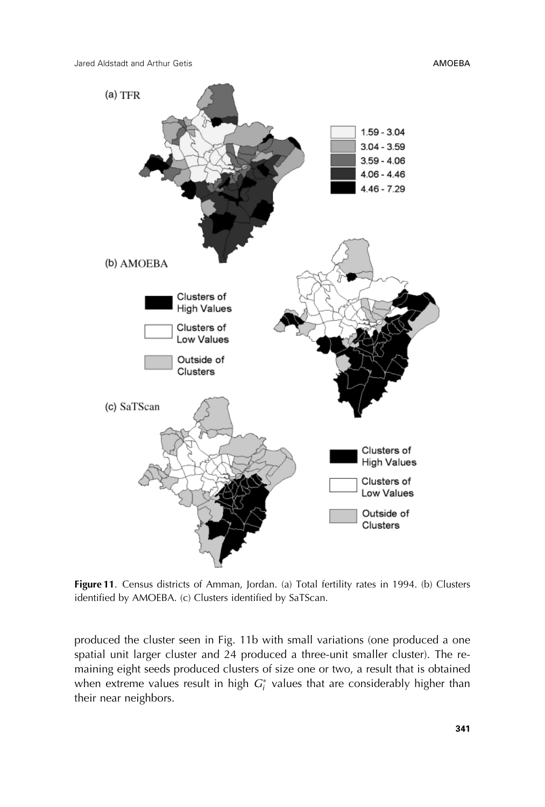

Figure 11. Census districts of Amman, Jordan. (a) Total fertility rates in 1994. (b) Clusters identified by AMOEBA. (c) Clusters identified by SaTScan.

produced the cluster seen in Fig. 11b with small variations (one produced a one spatial unit larger cluster and 24 produced a three-unit smaller cluster). The remaining eight seeds produced clusters of size one or two, a result that is obtained when extreme values result in high  $G_i^*$  values that are considerably higher than their near neighbors.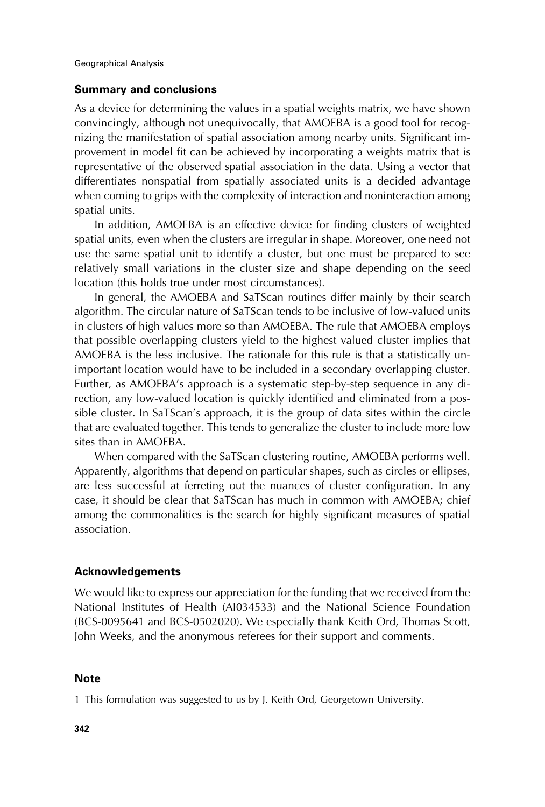## **Summary and conclusions**

As a device for determining the values in a spatial weights matrix, we have shown convincingly, although not unequivocally, that AMOEBA is a good tool for recognizing the manifestation of spatial association among nearby units. Significant improvement in model fit can be achieved by incorporating a weights matrix that is representative of the observed spatial association in the data. Using a vector that differentiates nonspatial from spatially associated units is a decided advantage when coming to grips with the complexity of interaction and noninteraction among spatial units.

In addition, AMOEBA is an effective device for finding clusters of weighted spatial units, even when the clusters are irregular in shape. Moreover, one need not use the same spatial unit to identify a cluster, but one must be prepared to see relatively small variations in the cluster size and shape depending on the seed location (this holds true under most circumstances).

In general, the AMOEBA and SaTScan routines differ mainly by their search algorithm. The circular nature of SaTScan tends to be inclusive of low-valued units in clusters of high values more so than AMOEBA. The rule that AMOEBA employs that possible overlapping clusters yield to the highest valued cluster implies that AMOEBA is the less inclusive. The rationale for this rule is that a statistically unimportant location would have to be included in a secondary overlapping cluster. Further, as AMOEBA's approach is a systematic step-by-step sequence in any direction, any low-valued location is quickly identified and eliminated from a possible cluster. In SaTScan's approach, it is the group of data sites within the circle that are evaluated together. This tends to generalize the cluster to include more low sites than in AMOEBA.

When compared with the SaTScan clustering routine, AMOEBA performs well. Apparently, algorithms that depend on particular shapes, such as circles or ellipses, are less successful at ferreting out the nuances of cluster configuration. In any case, it should be clear that SaTScan has much in common with AMOEBA; chief among the commonalities is the search for highly significant measures of spatial association.

## **Acknowledgements**

We would like to express our appreciation for the funding that we received from the National Institutes of Health (AI034533) and the National Science Foundation (BCS-0095641 and BCS-0502020). We especially thank Keith Ord, Thomas Scott, John Weeks, and the anonymous referees for their support and comments.

## **Note**

1 This formulation was suggested to us by J. Keith Ord, Georgetown University.